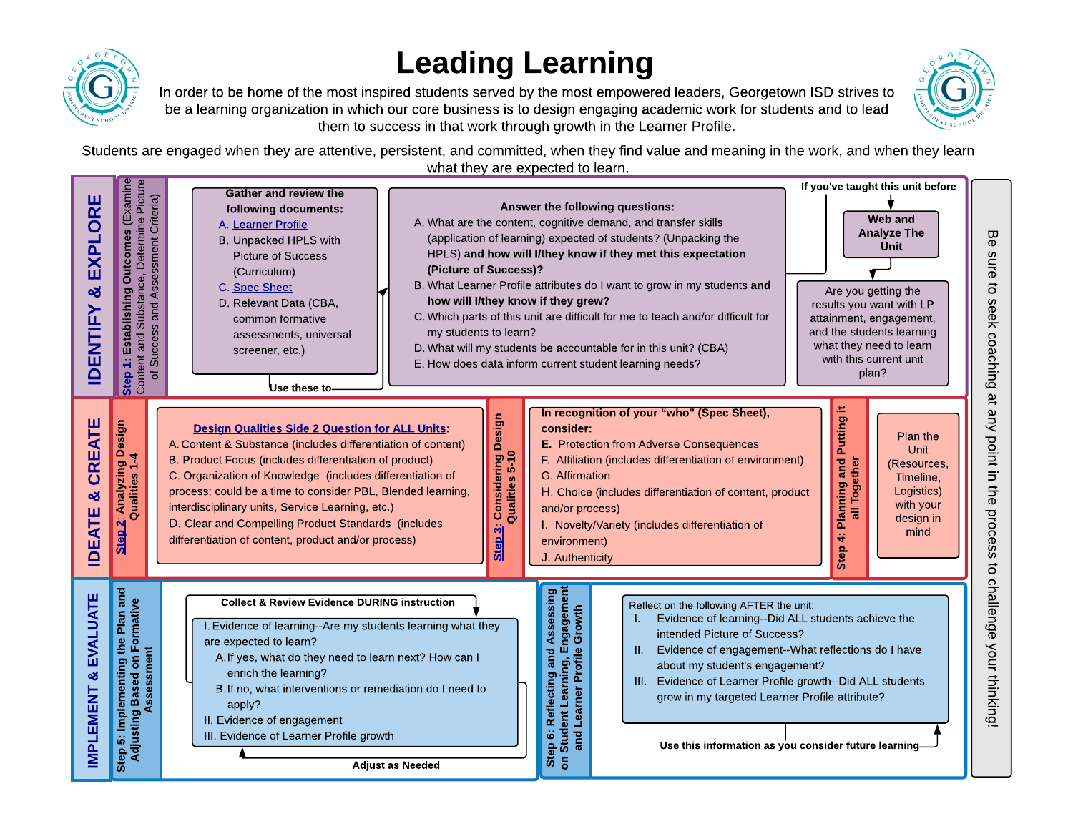

## Leading Learning



In order to be home of the most inspired students served by the most empowered leaders, Georgetown ISD strives to be a learning organization in which our core business is to design engaging academic work for students and to lead them to success in that work through growth in the Learner Profile.

Students are engaged when they are attentive, persistent, and committed, when they find value and meaning in the work, and when they learn what they are expected to learn. RR